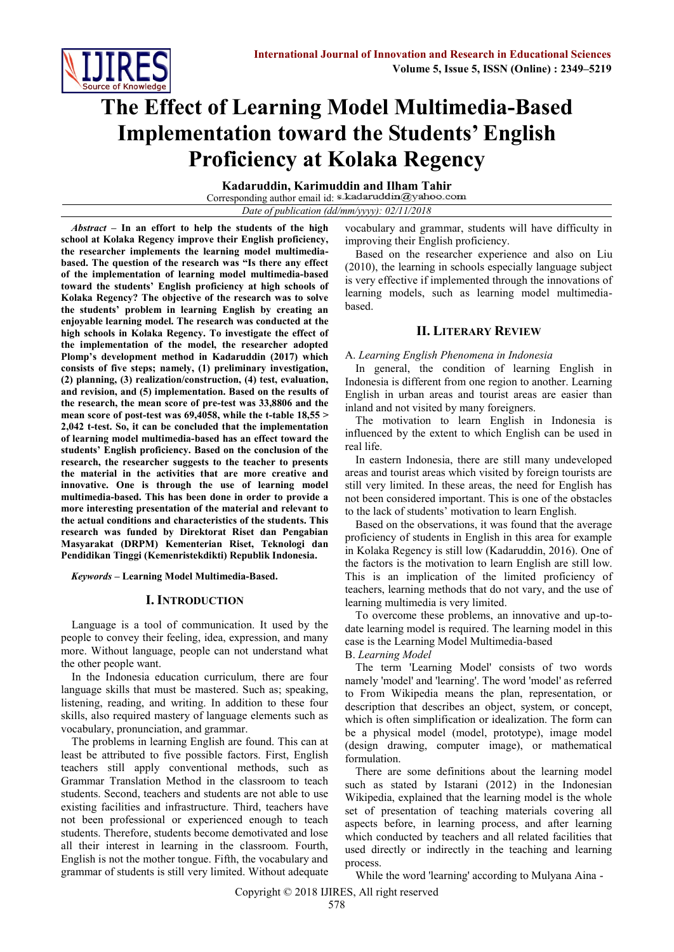

# **The Effect of Learning Model Multimedia-Based Implementation toward the Students' English Proficiency at Kolaka Regency**

**Kadaruddin, Karimuddin and Ilham Tahir** Corresponding author email id: s.kadaruddin@yahoo.com *Date of publication (dd/mm/yyyy): 02/11/2018*

*Abstract* **– In an effort to help the students of the high school at Kolaka Regency improve their English proficiency, the researcher implements the learning model multimediabased. The question of the research was "Is there any effect of the implementation of learning model multimedia-based toward the students' English proficiency at high schools of Kolaka Regency? The objective of the research was to solve the students' problem in learning English by creating an enjoyable learning model. The research was conducted at the high schools in Kolaka Regency. To investigate the effect of the implementation of the model, the researcher adopted Plomp's development method in Kadaruddin (2017) which consists of five steps; namely, (1) preliminary investigation, (2) planning, (3) realization/construction, (4) test, evaluation, and revision, and (5) implementation. Based on the results of the research, the mean score of pre-test was 33,8806 and the mean score of post-test was 69,4058, while the t-table 18,55 > 2,042 t-test. So, it can be concluded that the implementation of learning model multimedia-based has an effect toward the students' English proficiency. Based on the conclusion of the research, the researcher suggests to the teacher to presents the material in the activities that are more creative and innovative. One is through the use of learning model multimedia-based. This has been done in order to provide a more interesting presentation of the material and relevant to the actual conditions and characteristics of the students. This research was funded by Direktorat Riset dan Pengabian Masyarakat (DRPM) Kementerian Riset, Teknologi dan Pendidikan Tinggi (Kemenristekdikti) Republik Indonesia.**

*Keywords* **– Learning Model Multimedia-Based.**

# **I. INTRODUCTION**

Language is a tool of communication. It used by the people to convey their feeling, idea, expression, and many more. Without language, people can not understand what the other people want.

In the Indonesia education curriculum, there are four language skills that must be mastered. Such as; speaking, listening, reading, and writing. In addition to these four skills, also required mastery of language elements such as vocabulary, pronunciation, and grammar.

The problems in learning English are found. This can at least be attributed to five possible factors. First, English teachers still apply conventional methods, such as Grammar Translation Method in the classroom to teach students. Second, teachers and students are not able to use existing facilities and infrastructure. Third, teachers have not been professional or experienced enough to teach students. Therefore, students become demotivated and lose all their interest in learning in the classroom. Fourth, English is not the mother tongue. Fifth, the vocabulary and grammar of students is still very limited. Without adequate vocabulary and grammar, students will have difficulty in improving their English proficiency.

Based on the researcher experience and also on Liu (2010), the learning in schools especially language subject is very effective if implemented through the innovations of learning models, such as learning model multimediabased.

# **II. LITERARY REVIEW**

#### A. *Learning English Phenomena in Indonesia*

In general, the condition of learning English in Indonesia is different from one region to another. Learning English in urban areas and tourist areas are easier than inland and not visited by many foreigners.

The motivation to learn English in Indonesia is influenced by the extent to which English can be used in real life.

In eastern Indonesia, there are still many undeveloped areas and tourist areas which visited by foreign tourists are still very limited. In these areas, the need for English has not been considered important. This is one of the obstacles to the lack of students' motivation to learn English.

Based on the observations, it was found that the average proficiency of students in English in this area for example in Kolaka Regency is still low (Kadaruddin, 2016). One of the factors is the motivation to learn English are still low. This is an implication of the limited proficiency of teachers, learning methods that do not vary, and the use of learning multimedia is very limited.

To overcome these problems, an innovative and up-todate learning model is required. The learning model in this case is the Learning Model Multimedia-based

B. *Learning Model*

The term 'Learning Model' consists of two words namely 'model' and 'learning'. The word 'model' as referred to From Wikipedia means the plan, representation, or description that describes an object, system, or concept, which is often simplification or idealization. The form can be a physical model (model, prototype), image model (design drawing, computer image), or mathematical formulation.

There are some definitions about the learning model such as stated by Istarani (2012) in the Indonesian Wikipedia, explained that the learning model is the whole set of presentation of teaching materials covering all aspects before, in learning process, and after learning which conducted by teachers and all related facilities that used directly or indirectly in the teaching and learning process.

While the word 'learning' according to Mulyana Aina -

Copyright © 2018 IJIRES, All right reserved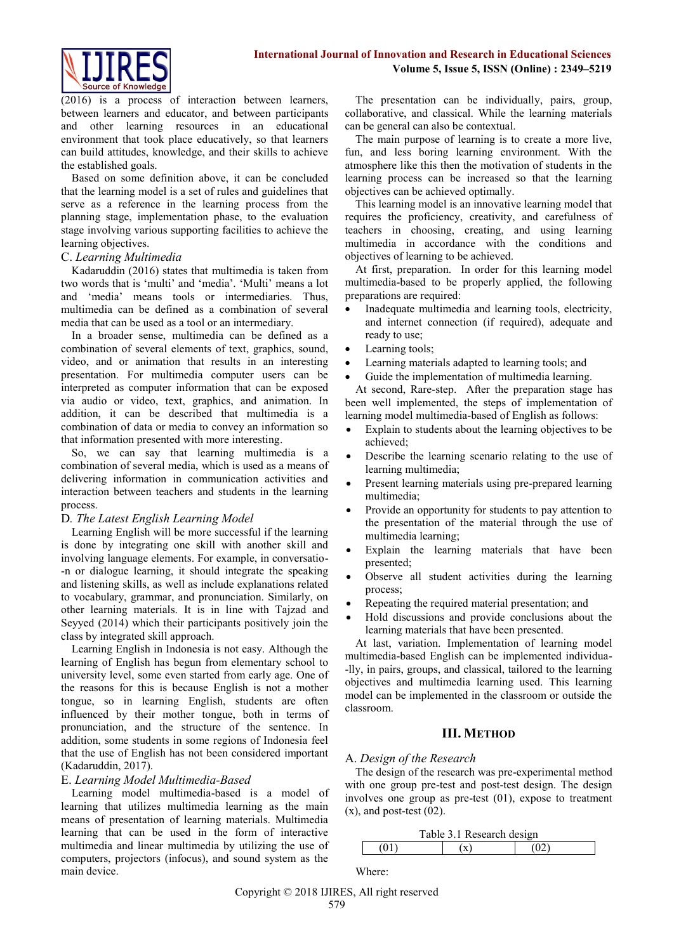

(2016) is a process of interaction between learners, between learners and educator, and between participants and other learning resources in an educational environment that took place educatively, so that learners can build attitudes, knowledge, and their skills to achieve the established goals.

Based on some definition above, it can be concluded that the learning model is a set of rules and guidelines that serve as a reference in the learning process from the planning stage, implementation phase, to the evaluation stage involving various supporting facilities to achieve the learning objectives.

# C. *Learning Multimedia*

Kadaruddin (2016) states that multimedia is taken from two words that is 'multi' and 'media'. 'Multi' means a lot and 'media' means tools or intermediaries. Thus, multimedia can be defined as a combination of several media that can be used as a tool or an intermediary.

In a broader sense, multimedia can be defined as a combination of several elements of text, graphics, sound, video, and or animation that results in an interesting presentation. For multimedia computer users can be interpreted as computer information that can be exposed via audio or video, text, graphics, and animation. In addition, it can be described that multimedia is a combination of data or media to convey an information so that information presented with more interesting.

So, we can say that learning multimedia is a combination of several media, which is used as a means of delivering information in communication activities and interaction between teachers and students in the learning process.

# D*. The Latest English Learning Model*

Learning English will be more successful if the learning is done by integrating one skill with another skill and involving language elements. For example, in conversatio- -n or dialogue learning, it should integrate the speaking and listening skills, as well as include explanations related to vocabulary, grammar, and pronunciation. Similarly, on other learning materials. It is in line with Tajzad and Seyyed (2014) which their participants positively join the class by integrated skill approach.

Learning English in Indonesia is not easy. Although the learning of English has begun from elementary school to university level, some even started from early age. One of the reasons for this is because English is not a mother tongue, so in learning English, students are often influenced by their mother tongue, both in terms of pronunciation, and the structure of the sentence. In addition, some students in some regions of Indonesia feel that the use of English has not been considered important (Kadaruddin, 2017).

# E. *Learning Model Multimedia-Based*

Learning model multimedia-based is a model of learning that utilizes multimedia learning as the main means of presentation of learning materials. Multimedia learning that can be used in the form of interactive multimedia and linear multimedia by utilizing the use of computers, projectors (infocus), and sound system as the main device.

The presentation can be individually, pairs, group, collaborative, and classical. While the learning materials can be general can also be contextual.

The main purpose of learning is to create a more live, fun, and less boring learning environment. With the atmosphere like this then the motivation of students in the learning process can be increased so that the learning objectives can be achieved optimally.

This learning model is an innovative learning model that requires the proficiency, creativity, and carefulness of teachers in choosing, creating, and using learning multimedia in accordance with the conditions and objectives of learning to be achieved.

At first, preparation. In order for this learning model multimedia-based to be properly applied, the following preparations are required:

- Inadequate multimedia and learning tools, electricity, and internet connection (if required), adequate and ready to use;
- Learning tools;
- Learning materials adapted to learning tools; and
- Guide the implementation of multimedia learning.

At second, Rare-step. After the preparation stage has been well implemented, the steps of implementation of learning model multimedia-based of English as follows:

- Explain to students about the learning objectives to be achieved;
- Describe the learning scenario relating to the use of learning multimedia;
- Present learning materials using pre-prepared learning multimedia;
- Provide an opportunity for students to pay attention to the presentation of the material through the use of multimedia learning;
- Explain the learning materials that have been presented;
- Observe all student activities during the learning process;
- Repeating the required material presentation; and
- Hold discussions and provide conclusions about the learning materials that have been presented.

At last, variation. Implementation of learning model multimedia-based English can be implemented individua- -lly, in pairs, groups, and classical, tailored to the learning objectives and multimedia learning used. This learning model can be implemented in the classroom or outside the classroom.

# **III. METHOD**

# A. *Design of the Research*

The design of the research was pre-experimental method with one group pre-test and post-test design. The design involves one group as pre-test (01), expose to treatment  $(x)$ , and post-test  $(02)$ .

| Table 3.1 Research design |              |    |  |  |  |  |
|---------------------------|--------------|----|--|--|--|--|
|                           | $\mathbf{x}$ | നാ |  |  |  |  |

Where:

Copyright © 2018 IJIRES, All right reserved 579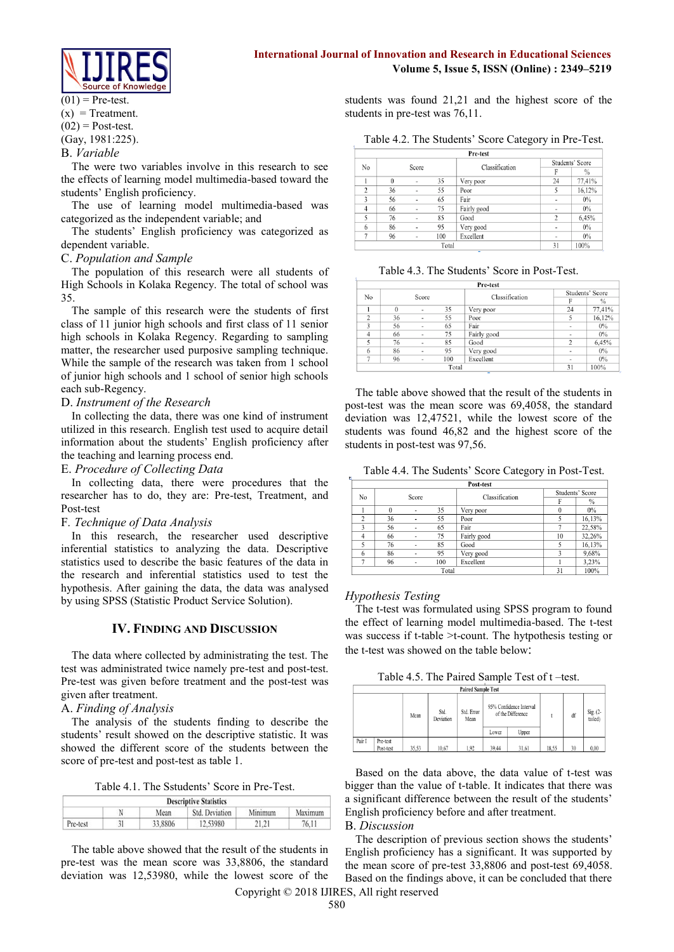

# **International Journal of Innovation and Research in Educational Sciences Volume 5, Issue 5, ISSN (Online) : 2349–5219**

 $(01)$  = Pre-test.  $(x)$  = Treatment.  $(02)$  = Post-test. (Gay, 1981:225). B. *Variable*

The were two variables involve in this research to see the effects of learning model multimedia-based toward the students' English proficiency.

The use of learning model multimedia-based was categorized as the independent variable; and

The students' English proficiency was categorized as dependent variable.

#### C. *Population and Sample*

The population of this research were all students of High Schools in Kolaka Regency. The total of school was 35.

The sample of this research were the students of first class of 11 junior high schools and first class of 11 senior high schools in Kolaka Regency. Regarding to sampling matter, the researcher used purposive sampling technique. While the sample of the research was taken from 1 school of junior high schools and 1 school of senior high schools each sub-Regency.

#### D. *Instrument of the Research*

In collecting the data, there was one kind of instrument utilized in this research. English test used to acquire detail information about the students' English proficiency after the teaching and learning process end.

#### E. *Procedure of Collecting Data*

In collecting data, there were procedures that the researcher has to do, they are: Pre-test, Treatment, and Post-test

#### F*. Technique of Data Analysis*

In this research, the researcher used descriptive inferential statistics to analyzing the data. Descriptive statistics used to describe the basic features of the data in the research and inferential statistics used to test the hypothesis. After gaining the data, the data was analysed by using SPSS (Statistic Product Service Solution).

# **IV. FINDING AND DISCUSSION**

The data where collected by administrating the test. The test was administrated twice namely pre-test and post-test. Pre-test was given before treatment and the post-test was given after treatment.

# A. *Finding of Analysis*

The analysis of the students finding to describe the students' result showed on the descriptive statistic. It was showed the different score of the students between the score of pre-test and post-test as table 1.

Table 4.1. The Sstudents' Score in Pre-Test.

| <b>Descriptive Statistics</b> |  |         |                |         |         |  |  |
|-------------------------------|--|---------|----------------|---------|---------|--|--|
|                               |  | Mean    | Std. Deviation | Minimum | Maximum |  |  |
| Pre-test                      |  | 33,8806 | 12,53980       | 21.21   | 76.11   |  |  |

The table above showed that the result of the students in pre-test was the mean score was 33,8806, the standard deviation was 12,53980, while the lowest score of the students was found 21,21 and the highest score of the students in pre-test was 76,11.

| Table 4.2. The Students' Score Category in Pre-Test. |  |  |  |  |  |  |  |
|------------------------------------------------------|--|--|--|--|--|--|--|
|------------------------------------------------------|--|--|--|--|--|--|--|

|                |          |                |       | Pre-test       |                 |               |  |
|----------------|----------|----------------|-------|----------------|-----------------|---------------|--|
| No             |          | Score          |       | Classification | Students' Score |               |  |
|                |          |                |       |                | F               | $\frac{0}{0}$ |  |
|                | $\theta$ | ٠              | 35    | Very poor      | 24              | 77,41%        |  |
| $\overline{2}$ | 36       |                | 55    | Poor           | 5               | 16,12%        |  |
| 3              | 56       |                | 65    | Fair           | ٠               | 0%            |  |
| 4              | 66       | $\blacksquare$ | 75    | Fairly good    | ٠               | $0\%$         |  |
| 5              | 76       | $\overline{a}$ | 85    | Good           | $\overline{2}$  | 6,45%         |  |
| 6              | 86       | $\overline{a}$ | 95    | Very good      | ۰               | $0\%$         |  |
| n              | 96       | $\overline{a}$ | 100   | Excellent      | $\blacksquare$  | 0%            |  |
|                |          |                | Total |                | 31              | 100%          |  |

Table 4.3. The Students' Score in Post-Test.

| No             |          |                          |       | Classification  |                          | Students' Score |  |
|----------------|----------|--------------------------|-------|-----------------|--------------------------|-----------------|--|
|                |          | Score                    |       |                 | F                        | $\frac{0}{0}$   |  |
|                | $\Omega$ | ٠                        | 35    | 24<br>Very poor |                          | 77,41%          |  |
| $\overline{c}$ | 36       | $\blacksquare$           | 55    | Poor            | 5                        | 16,12%          |  |
| 3              | 56       | $\blacksquare$           | 65    | Fair            | $\overline{\phantom{a}}$ | $0\%$           |  |
| $\overline{4}$ | 66       | $\overline{\phantom{a}}$ | 75    | Fairly good     | $\overline{\phantom{a}}$ | $0\%$           |  |
|                | 76       | $\blacksquare$           | 85    | Good            | $\overline{c}$           | 6,45%           |  |
| 6              | 86       | $\overline{\phantom{a}}$ | 95    | Very good       | $\blacksquare$           | $0\%$           |  |
| ÷              | 96       | $\blacksquare$           | 100   | Excellent       | $\overline{\phantom{a}}$ | $0\%$           |  |
|                |          |                          | Total |                 | 31                       | 100%            |  |

The table above showed that the result of the students in post-test was the mean score was 69,4058, the standard deviation was 12,47521, while the lowest score of the students was found 46,82 and the highest score of the students in post-test was 97,56.

Table 4.4. The Sudents' Score Category in Post-Test.

|                | Post-test |                          |       |                |                 |        |  |  |  |  |
|----------------|-----------|--------------------------|-------|----------------|-----------------|--------|--|--|--|--|
| No             |           | Score                    |       | Classification | Students' Score |        |  |  |  |  |
|                |           |                          |       | F              | $\%$            |        |  |  |  |  |
|                | $\Omega$  | ٠                        | 35    | Very poor      | $\theta$        | $0\%$  |  |  |  |  |
| $\overline{2}$ | 36        | $\overline{\phantom{a}}$ | 55    | Poor           |                 | 16,13% |  |  |  |  |
|                | 56        |                          | 65    | Fair           |                 | 22.58% |  |  |  |  |
| 4              | 66        | ٠                        | 75    | Fairly good    | 10              | 32,26% |  |  |  |  |
|                | 76        | $\overline{a}$           | 85    | Good           |                 | 16,13% |  |  |  |  |
| 6              | 86        |                          | 95    | Very good      | 3               | 9,68%  |  |  |  |  |
|                | 96        | ٠                        | 100   | Excellent      |                 | 3.23%  |  |  |  |  |
|                |           |                          | Total |                | 31              | 100%   |  |  |  |  |

#### *Hypothesis Testing*

The t-test was formulated using SPSS program to found the effect of learning model multimedia-based. The t-test was success if t-table >t-count. The hytpothesis testing or the t-test was showed on the table below:

Table 4.5. The Paired Sample Test of t –test.

| <b>Paired Sample Test</b> |                       |       |                   |                    |       |                                              |       |    |                        |
|---------------------------|-----------------------|-------|-------------------|--------------------|-------|----------------------------------------------|-------|----|------------------------|
|                           |                       | Mean  | Std.<br>Deviation | Std. Error<br>Mean |       | 95% Confidence Interval<br>of the Difference |       | df | Sig. $(2 -$<br>tailed) |
|                           |                       |       |                   |                    | Lower | Upper                                        |       |    |                        |
| Pair I                    | Pre-test<br>Post-test | 35,53 | 10,67             | 1.92               | 39,44 | 31.61                                        | 18.55 | 30 | 0.00                   |

Based on the data above, the data value of t-test was bigger than the value of t-table. It indicates that there was a significant difference between the result of the students' English proficiency before and after treatment.

#### B. *Discussion*

The description of previous section shows the students' English proficiency has a significant. It was supported by the mean score of pre-test 33,8806 and post-test 69,4058. Based on the findings above, it can be concluded that there

Copyright © 2018 IJIRES, All right reserved